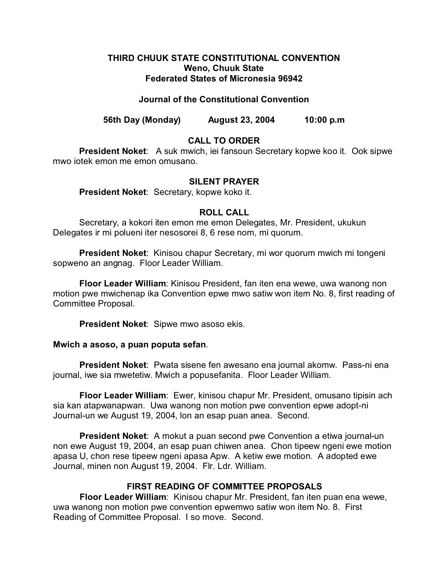## **THIRD CHUUK STATE CONSTITUTIONAL CONVENTION Weno, Chuuk State Federated States of Micronesia 96942**

## **Journal of the Constitutional Convention**

**56th Day (Monday) August 23, 2004 10:00 p.m**

# **CALL TO ORDER**

**President Noket**: A suk mwich, iei fansoun Secretary kopwe koo it. Ook sipwe mwo iotek emon me emon omusano.

### **SILENT PRAYER**

**President Noket**: Secretary, kopwe koko it.

# **ROLL CALL**

Secretary, a kokori iten emon me emon Delegates, Mr. President, ukukun Delegates ir mi polueni iter nesosorei 8, 6 rese nom, mi quorum.

**President Noket**: Kinisou chapur Secretary, mi wor quorum mwich mi tongeni sopweno an angnag. Floor Leader William.

**Floor Leader William**: Kinisou President, fan iten ena wewe, uwa wanong non motion pwe mwichenap ika Convention epwe mwo satiw won item No. 8, first reading of Committee Proposal.

**President Noket**: Sipwe mwo asoso ekis.

### **Mwich a asoso, a puan poputa sefan**.

**President Noket**: Pwata sisene fen awesano ena journal akomw. Pass-ni ena journal, iwe sia mwetetiw. Mwich a popusefanita. Floor Leader William.

**Floor Leader William**: Ewer, kinisou chapur Mr. President, omusano tipisin ach sia kan atapwanapwan. Uwa wanong non motion pwe convention epwe adopt-ni Journal-un we August 19, 2004, lon an esap puan anea. Second.

**President Noket**: A mokut a puan second pwe Convention a etiwa journal-un non ewe August 19, 2004, an esap puan chiwen anea. Chon tipeew ngeni ewe motion apasa U, chon rese tipeew ngeni apasa Apw. A ketiw ewe motion. A adopted ewe Journal, minen non August 19, 2004. Flr. Ldr. William.

# **FIRST READING OF COMMITTEE PROPOSALS**

**Floor Leader William**: Kinisou chapur Mr. President, fan iten puan ena wewe, uwa wanong non motion pwe convention epwemwo satiw won item No. 8. First Reading of Committee Proposal. I so move. Second.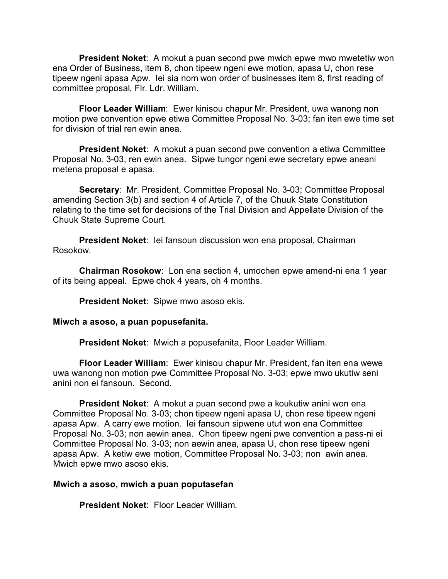**President Noket**: A mokut a puan second pwe mwich epwe mwo mwetetiw won ena Order of Business, item 8, chon tipeew ngeni ewe motion, apasa U, chon rese tipeew ngeni apasa Apw. Iei sia nom won order of businesses item 8, first reading of committee proposal, Flr. Ldr. William.

**Floor Leader William**: Ewer kinisou chapur Mr. President, uwa wanong non motion pwe convention epwe etiwa Committee Proposal No. 3-03; fan iten ewe time set for division of trial ren ewin anea.

**President Noket**: A mokut a puan second pwe convention a etiwa Committee Proposal No. 3-03, ren ewin anea. Sipwe tungor ngeni ewe secretary epwe aneani metena proposal e apasa.

**Secretary**: Mr. President, Committee Proposal No. 3-03; Committee Proposal amending Section 3(b) and section 4 of Article 7, of the Chuuk State Constitution relating to the time set for decisions of the Trial Division and Appellate Division of the Chuuk State Supreme Court.

**President Noket**: Iei fansoun discussion won ena proposal, Chairman Rosokow.

**Chairman Rosokow**: Lon ena section 4, umochen epwe amend-ni ena 1 year of its being appeal. Epwe chok 4 years, oh 4 months.

**President Noket**: Sipwe mwo asoso ekis.

### **Miwch a asoso, a puan popusefanita.**

**President Noket**: Mwich a popusefanita, Floor Leader William.

**Floor Leader William**: Ewer kinisou chapur Mr. President, fan iten ena wewe uwa wanong non motion pwe Committee Proposal No. 3-03; epwe mwo ukutiw seni anini non ei fansoun. Second.

**President Noket**: A mokut a puan second pwe a koukutiw anini won ena Committee Proposal No. 3-03; chon tipeew ngeni apasa U, chon rese tipeew ngeni apasa Apw. A carry ewe motion. Iei fansoun sipwene utut won ena Committee Proposal No. 3-03; non aewin anea. Chon tipeew ngeni pwe convention a pass-ni ei Committee Proposal No. 3-03; non aewin anea, apasa U, chon rese tipeew ngeni apasa Apw. A ketiw ewe motion, Committee Proposal No. 3-03; non awin anea. Mwich epwe mwo asoso ekis.

### **Mwich a asoso, mwich a puan poputasefan**

**President Noket**: Floor Leader William.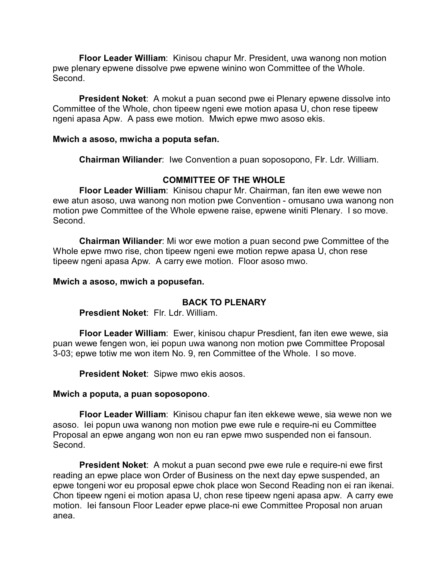**Floor Leader William**: Kinisou chapur Mr. President, uwa wanong non motion pwe plenary epwene dissolve pwe epwene winino won Committee of the Whole. Second.

**President Noket**: A mokut a puan second pwe ei Plenary epwene dissolve into Committee of the Whole, chon tipeew ngeni ewe motion apasa U, chon rese tipeew ngeni apasa Apw. A pass ewe motion. Mwich epwe mwo asoso ekis.

### **Mwich a asoso, mwicha a poputa sefan.**

**Chairman Wiliander**: Iwe Convention a puan soposopono, Flr. Ldr. William.

## **COMMITTEE OF THE WHOLE**

**Floor Leader William**: Kinisou chapur Mr. Chairman, fan iten ewe wewe non ewe atun asoso, uwa wanong non motion pwe Convention - omusano uwa wanong non motion pwe Committee of the Whole epwene raise, epwene winiti Plenary. I so move. Second.

**Chairman Wiliander**: Mi wor ewe motion a puan second pwe Committee of the Whole epwe mwo rise, chon tipeew ngeni ewe motion repwe apasa U, chon rese tipeew ngeni apasa Apw. A carry ewe motion. Floor asoso mwo.

### **Mwich a asoso, mwich a popusefan.**

## **BACK TO PLENARY**

**Presdient Noket**: Flr. Ldr. William.

**Floor Leader William**: Ewer, kinisou chapur Presdient, fan iten ewe wewe, sia puan wewe fengen won, iei popun uwa wanong non motion pwe Committee Proposal 3-03; epwe totiw me won item No. 9, ren Committee of the Whole. I so move.

**President Noket**: Sipwe mwo ekis aosos.

### **Mwich a poputa, a puan soposopono**.

**Floor Leader William**: Kinisou chapur fan iten ekkewe wewe, sia wewe non we asoso. Iei popun uwa wanong non motion pwe ewe rule e require-ni eu Committee Proposal an epwe angang won non eu ran epwe mwo suspended non ei fansoun. Second.

**President Noket**: A mokut a puan second pwe ewe rule e require-ni ewe first reading an epwe place won Order of Business on the next day epwe suspended, an epwe tongeni wor eu proposal epwe chok place won Second Reading non ei ran ikenai. Chon tipeew ngeni ei motion apasa U, chon rese tipeew ngeni apasa apw. A carry ewe motion. Iei fansoun Floor Leader epwe place-ni ewe Committee Proposal non aruan anea.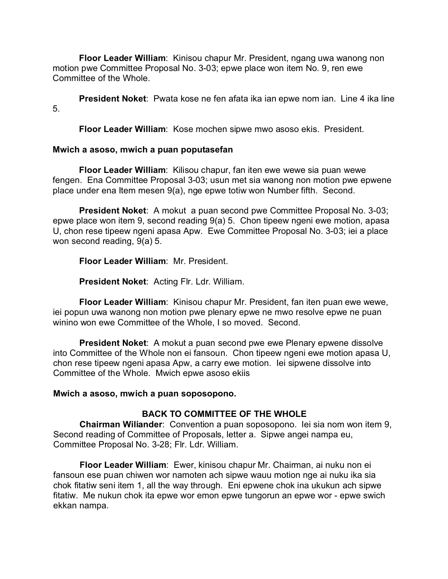**Floor Leader William**: Kinisou chapur Mr. President, ngang uwa wanong non motion pwe Committee Proposal No. 3-03; epwe place won item No. 9, ren ewe Committee of the Whole.

**President Noket**: Pwata kose ne fen afata ika ian epwe nom ian. Line 4 ika line 5.

**Floor Leader William**: Kose mochen sipwe mwo asoso ekis. President.

# **Mwich a asoso, mwich a puan poputasefan**

**Floor Leader William**: Kilisou chapur, fan iten ewe wewe sia puan wewe fengen. Ena Committee Proposal 3-03; usun met sia wanong non motion pwe epwene place under ena Item mesen 9(a), nge epwe totiw won Number fifth. Second.

**President Noket**: A mokut a puan second pwe Committee Proposal No. 3-03; epwe place won item 9, second reading 9(a) 5. Chon tipeew ngeni ewe motion, apasa U, chon rese tipeew ngeni apasa Apw. Ewe Committee Proposal No. 3-03; iei a place won second reading, 9(a) 5.

**Floor Leader William**: Mr. President.

**President Noket**: Acting Flr. Ldr. William.

**Floor Leader William**: Kinisou chapur Mr. President, fan iten puan ewe wewe, iei popun uwa wanong non motion pwe plenary epwe ne mwo resolve epwe ne puan winino won ewe Committee of the Whole, I so moved. Second.

**President Noket**: A mokut a puan second pwe ewe Plenary epwene dissolve into Committee of the Whole non ei fansoun. Chon tipeew ngeni ewe motion apasa U, chon rese tipeew ngeni apasa Apw, a carry ewe motion. Iei sipwene dissolve into Committee of the Whole. Mwich epwe asoso ekiis

# **Mwich a asoso, mwich a puan soposopono.**

# **BACK TO COMMITTEE OF THE WHOLE**

**Chairman Wiliander**: Convention a puan soposopono. Iei sia nom won item 9, Second reading of Committee of Proposals, letter a. Sipwe angei nampa eu, Committee Proposal No. 3-28; Flr. Ldr. William.

**Floor Leader William**: Ewer, kinisou chapur Mr. Chairman, ai nuku non ei fansoun ese puan chiwen wor namoten ach sipwe wauu motion nge ai nuku ika sia chok fitatiw seni item 1, all the way through. Eni epwene chok ina ukukun ach sipwe fitatiw. Me nukun chok ita epwe wor emon epwe tungorun an epwe wor - epwe swich ekkan nampa.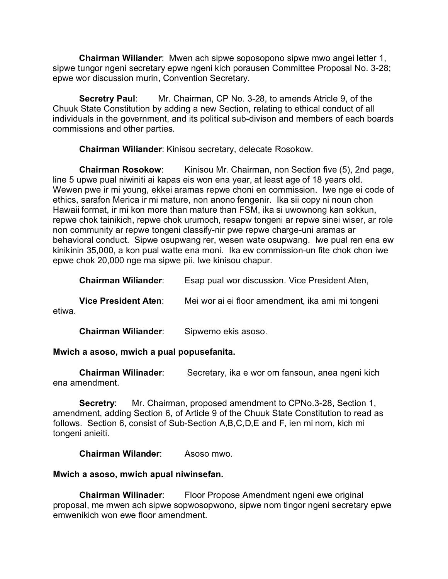**Chairman Wiliander**: Mwen ach sipwe soposopono sipwe mwo angei letter 1, sipwe tungor ngeni secretary epwe ngeni kich porausen Committee Proposal No. 3-28; epwe wor discussion murin, Convention Secretary.

**Secretry Paul**: Mr. Chairman, CP No. 3-28, to amends Atricle 9, of the Chuuk State Constitution by adding a new Section, relating to ethical conduct of all individuals in the government, and its political sub-divison and members of each boards commissions and other parties.

**Chairman Wiliander**: Kinisou secretary, delecate Rosokow.

**Chairman Rosokow:** Kinisou Mr. Chairman, non Section five (5), 2nd page, line 5 upwe pual niwiniti ai kapas eis won ena year, at least age of 18 years old. Wewen pwe ir mi young, ekkei aramas repwe choni en commission. Iwe nge ei code of ethics, sarafon Merica ir mi mature, non anono fengenir. Ika sii copy ni noun chon Hawaii format, ir mi kon more than mature than FSM, ika si uwownong kan sokkun, repwe chok tainikich, repwe chok urumoch, resapw tongeni ar repwe sinei wiser, ar role non community ar repwe tongeni classify-nir pwe repwe charge-uni aramas ar behavioral conduct. Sipwe osupwang rer, wesen wate osupwang. Iwe pual ren ena ew kinikinin 35,000, a kon pual watte ena moni. Ika ew commission-un fite chok chon iwe epwe chok 20,000 nge ma sipwe pii. Iwe kinisou chapur.

| <b>Chairman Wiliander:</b>  | Esap pual wor discussion. Vice President Aten,    |
|-----------------------------|---------------------------------------------------|
| <b>Vice President Aten:</b> | Mei wor ai ei floor amendment, ika ami mi tongeni |

etiwa.

**Chairman Wiliander**: Sipwemo ekis asoso.

# **Mwich a asoso, mwich a pual popusefanita.**

**Chairman Wilinader**: Secretary, ika e wor om fansoun, anea ngeni kich ena amendment.

**Secretry**: Mr. Chairman, proposed amendment to CPNo.3-28, Section 1, amendment, adding Section 6, of Article 9 of the Chuuk State Constitution to read as follows. Section 6, consist of Sub-Section A,B,C,D,E and F, ien mi nom, kich mi tongeni anieiti.

**Chairman Wilander**: Asoso mwo.

# **Mwich a asoso, mwich apual niwinsefan.**

**Chairman Wilinader**: Floor Propose Amendment ngeni ewe original proposal, me mwen ach sipwe sopwosopwono, sipwe nom tingor ngeni secretary epwe emwenikich won ewe floor amendment.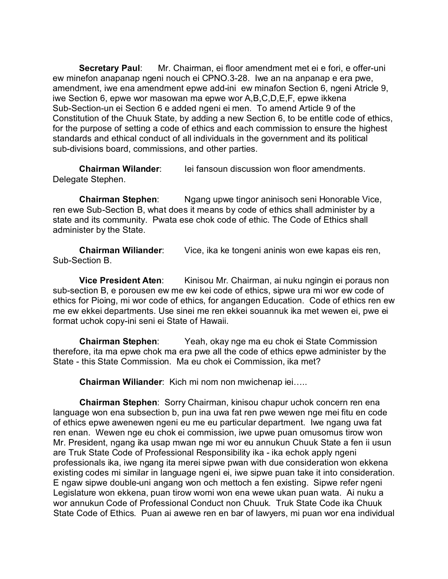**Secretary Paul**: Mr. Chairman, ei floor amendment met ei e fori, e offer-uni ew minefon anapanap ngeni nouch ei CPNO.3-28. Iwe an na anpanap e era pwe, amendment, iwe ena amendment epwe add-ini ew minafon Section 6, ngeni Atricle 9, iwe Section 6, epwe wor masowan ma epwe wor A,B,C,D,E,F, epwe ikkena Sub-Section-un ei Section 6 e added ngeni ei men. To amend Article 9 of the Constitution of the Chuuk State, by adding a new Section 6, to be entitle code of ethics, for the purpose of setting a code of ethics and each commission to ensure the highest standards and ethical conduct of all individuals in the government and its political sub-divisions board, commissions, and other parties.

**Chairman Wilander:** Iei fansoun discussion won floor amendments. Delegate Stephen.

**Chairman Stephen**: Ngang upwe tingor aninisoch seni Honorable Vice, ren ewe Sub-Section B, what does it means by code of ethics shall administer by a state and its community. Pwata ese chok code of ethic. The Code of Ethics shall administer by the State.

**Chairman Wiliander**: Vice, ika ke tongeni aninis won ewe kapas eis ren, Sub-Section B.

**Vice President Aten:** Kinisou Mr. Chairman, ai nuku ngingin ei poraus non sub-section B, e porousen ew me ew kei code of ethics, sipwe ura mi wor ew code of ethics for Pioing, mi wor code of ethics, for angangen Education. Code of ethics ren ew me ew ekkei departments. Use sinei me ren ekkei souannuk ika met wewen ei, pwe ei format uchok copy-ini seni ei State of Hawaii.

**Chairman Stephen**: Yeah, okay nge ma eu chok ei State Commission therefore, ita ma epwe chok ma era pwe all the code of ethics epwe administer by the State - this State Commission. Ma eu chok ei Commission, ika met?

**Chairman Wiliander**: Kich mi nom non mwichenap iei…..

**Chairman Stephen**: Sorry Chairman, kinisou chapur uchok concern ren ena language won ena subsection b, pun ina uwa fat ren pwe wewen nge mei fitu en code of ethics epwe awenewen ngeni eu me eu particular department. Iwe ngang uwa fat ren enan. Wewen nge eu chok ei commission, iwe upwe puan omusomus tirow won Mr. President, ngang ika usap mwan nge mi wor eu annukun Chuuk State a fen ii usun are Truk State Code of Professional Responsibility ika - ika echok apply ngeni professionals ika, iwe ngang ita merei sipwe pwan with due consideration won ekkena existing codes mi similar in language ngeni ei, iwe sipwe puan take it into consideration. E ngaw sipwe double-uni angang won och mettoch a fen existing. Sipwe refer ngeni Legislature won ekkena, puan tirow womi won ena wewe ukan puan wata. Ai nuku a wor annukun Code of Professional Conduct non Chuuk. Truk State Code ika Chuuk State Code of Ethics. Puan ai awewe ren en bar of lawyers, mi puan wor ena individual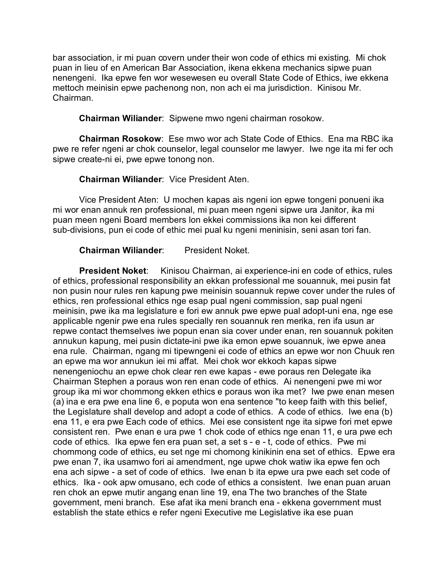bar association, ir mi puan covern under their won code of ethics mi existing. Mi chok puan in lieu of en American Bar Association, ikena ekkena mechanics sipwe puan nenengeni. Ika epwe fen wor wesewesen eu overall State Code of Ethics, iwe ekkena mettoch meinisin epwe pachenong non, non ach ei ma jurisdiction. Kinisou Mr. Chairman.

**Chairman Wiliander**: Sipwene mwo ngeni chairman rosokow.

**Chairman Rosokow**: Ese mwo wor ach State Code of Ethics. Ena ma RBC ika pwe re refer ngeni ar chok counselor, legal counselor me lawyer. Iwe nge ita mi fer och sipwe create-ni ei, pwe epwe tonong non.

**Chairman Wiliander**: Vice President Aten.

Vice President Aten: U mochen kapas ais ngeni ion epwe tongeni ponueni ika mi wor enan annuk ren professional, mi puan meen ngeni sipwe ura Janitor, ika mi puan meen ngeni Board members lon ekkei commissions ika non kei different sub-divisions, pun ei code of ethic mei pual ku ngeni meninisin, seni asan tori fan.

**Chairman Wiliander**: President Noket.

**President Noket**: Kinisou Chairman, ai experience-ini en code of ethics, rules of ethics, professional responsibility an ekkan professional me souannuk, mei pusin fat non pusin nour rules ren kapung pwe meinisin souannuk repwe cover under the rules of ethics, ren professional ethics nge esap pual ngeni commission, sap pual ngeni meinisin, pwe ika ma legislature e fori ew annuk pwe epwe pual adopt-uni ena, nge ese applicable ngenir pwe ena rules specially ren souannuk ren merika, ren ifa usun ar repwe contact themselves iwe popun enan sia cover under enan, ren souannuk pokiten annukun kapung, mei pusin dictate-ini pwe ika emon epwe souannuk, iwe epwe anea ena rule. Chairman, ngang mi tipewngeni ei code of ethics an epwe wor non Chuuk ren an epwe ma wor annukun iei mi affat. Mei chok wor ekkoch kapas sipwe nenengeniochu an epwe chok clear ren ewe kapas - ewe poraus ren Delegate ika Chairman Stephen a poraus won ren enan code of ethics. Ai nenengeni pwe mi wor group ika mi wor chommong ekken ethics e poraus won ika met? Iwe pwe enan mesen (a) ina e era pwe ena line 6, e poputa won ena sentence "to keep faith with this belief, the Legislature shall develop and adopt a code of ethics. A code of ethics. Iwe ena (b) ena 11, e era pwe Each code of ethics. Mei ese consistent nge ita sipwe fori met epwe consistent ren. Pwe enan e ura pwe 1 chok code of ethics nge enan 11, e ura pwe ech code of ethics. Ika epwe fen era puan set, a set s - e - t, code of ethics. Pwe mi chommong code of ethics, eu set nge mi chomong kinikinin ena set of ethics. Epwe era pwe enan 7, ika usamwo fori ai amendment, nge upwe chok watiw ika epwe fen och ena ach sipwe - a set of code of ethics. Iwe enan b ita epwe ura pwe each set code of ethics. Ika - ook apw omusano, ech code of ethics a consistent. Iwe enan puan aruan ren chok an epwe mutir angang enan line 19, ena The two branches of the State government, meni branch. Ese afat ika meni branch ena - ekkena government must establish the state ethics e refer ngeni Executive me Legislative ika ese puan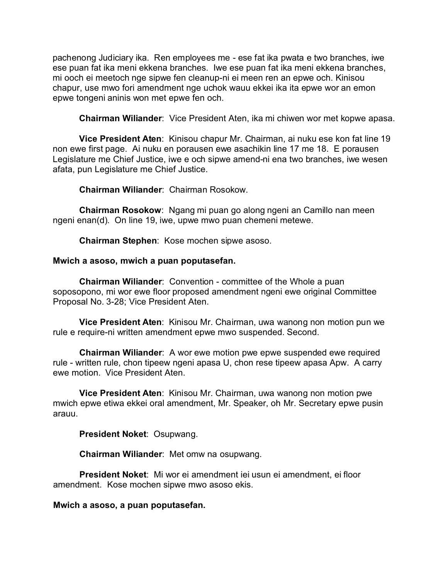pachenong Judiciary ika. Ren employees me - ese fat ika pwata e two branches, iwe ese puan fat ika meni ekkena branches. Iwe ese puan fat ika meni ekkena branches, mi ooch ei meetoch nge sipwe fen cleanup-ni ei meen ren an epwe och. Kinisou chapur, use mwo fori amendment nge uchok wauu ekkei ika ita epwe wor an emon epwe tongeni aninis won met epwe fen och.

**Chairman Wiliander**: Vice President Aten, ika mi chiwen wor met kopwe apasa.

**Vice President Aten**: Kinisou chapur Mr. Chairman, ai nuku ese kon fat line 19 non ewe first page. Ai nuku en porausen ewe asachikin line 17 me 18. E porausen Legislature me Chief Justice, iwe e och sipwe amend-ni ena two branches, iwe wesen afata, pun Legislature me Chief Justice.

**Chairman Wiliander**: Chairman Rosokow.

**Chairman Rosokow**: Ngang mi puan go along ngeni an Camillo nan meen ngeni enan(d). On line 19, iwe, upwe mwo puan chemeni metewe.

**Chairman Stephen**: Kose mochen sipwe asoso.

### **Mwich a asoso, mwich a puan poputasefan.**

**Chairman Wiliander**: Convention - committee of the Whole a puan soposopono, mi wor ewe floor proposed amendment ngeni ewe original Committee Proposal No. 3-28; Vice President Aten.

**Vice President Aten**: Kinisou Mr. Chairman, uwa wanong non motion pun we rule e require-ni written amendment epwe mwo suspended. Second.

**Chairman Wiliander**: A wor ewe motion pwe epwe suspended ewe required rule - written rule, chon tipeew ngeni apasa U, chon rese tipeew apasa Apw. A carry ewe motion. Vice President Aten.

**Vice President Aten**: Kinisou Mr. Chairman, uwa wanong non motion pwe mwich epwe etiwa ekkei oral amendment, Mr. Speaker, oh Mr. Secretary epwe pusin arauu.

**President Noket**: Osupwang.

**Chairman Wiliander**: Met omw na osupwang.

**President Noket**: Mi wor ei amendment iei usun ei amendment, ei floor amendment. Kose mochen sipwe mwo asoso ekis.

**Mwich a asoso, a puan poputasefan.**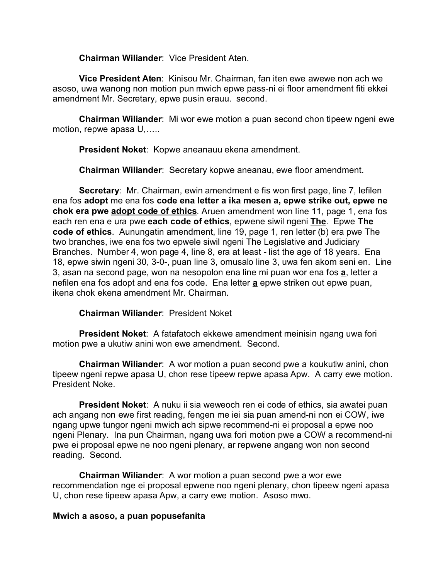**Chairman Wiliander**: Vice President Aten.

**Vice President Aten**: Kinisou Mr. Chairman, fan iten ewe awewe non ach we asoso, uwa wanong non motion pun mwich epwe pass-ni ei floor amendment fiti ekkei amendment Mr. Secretary, epwe pusin erauu. second.

**Chairman Wiliander**: Mi wor ewe motion a puan second chon tipeew ngeni ewe motion, repwe apasa U,…..

**President Noket**: Kopwe aneanauu ekena amendment.

**Chairman Wiliander**: Secretary kopwe aneanau, ewe floor amendment.

**Secretary**: Mr. Chairman, ewin amendment e fis won first page, line 7, lefilen ena fos **adopt** me ena fos **code ena letter a ika mesen a, epwe strike out, epwe ne chok era pwe adopt code of ethics**. Aruen amendment won line 11, page 1, ena fos each ren ena e ura pwe **each code of ethics**, epwene siwil ngeni **The**. Epwe **The code of ethics**. Aunungatin amendment, line 19, page 1, ren letter (b) era pwe The two branches, iwe ena fos two epwele siwil ngeni The Legislative and Judiciary Branches. Number 4, won page 4, line 8, era at least - list the age of 18 years. Ena 18, epwe siwin ngeni 30, 3-0-, puan line 3, omusalo line 3, uwa fen akom seni en. Line 3, asan na second page, won na nesopolon ena line mi puan wor ena fos **a**, letter a nefilen ena fos adopt and ena fos code. Ena letter **a** epwe striken out epwe puan, ikena chok ekena amendment Mr. Chairman.

**Chairman Wiliander**: President Noket

**President Noket**: A fatafatoch ekkewe amendment meinisin ngang uwa fori motion pwe a ukutiw anini won ewe amendment. Second.

**Chairman Wiliander**: A wor motion a puan second pwe a koukutiw anini, chon tipeew ngeni repwe apasa U, chon rese tipeew repwe apasa Apw. A carry ewe motion. President Noke.

**President Noket**: A nuku ii sia weweoch ren ei code of ethics, sia awatei puan ach angang non ewe first reading, fengen me iei sia puan amend-ni non ei COW, iwe ngang upwe tungor ngeni mwich ach sipwe recommend-ni ei proposal a epwe noo ngeni Plenary. Ina pun Chairman, ngang uwa fori motion pwe a COW a recommend-ni pwe ei proposal epwe ne noo ngeni plenary, ar repwene angang won non second reading. Second.

**Chairman Wiliander**: A wor motion a puan second pwe a wor ewe recommendation nge ei proposal epwene noo ngeni plenary, chon tipeew ngeni apasa U, chon rese tipeew apasa Apw, a carry ewe motion. Asoso mwo.

### **Mwich a asoso, a puan popusefanita**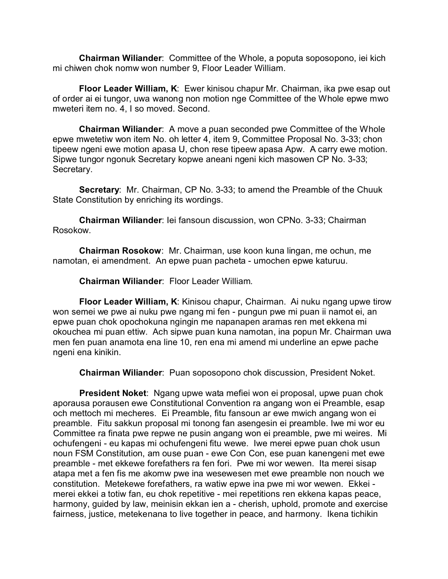**Chairman Wiliander**: Committee of the Whole, a poputa soposopono, iei kich mi chiwen chok nomw won number 9, Floor Leader William.

**Floor Leader William, K**: Ewer kinisou chapur Mr. Chairman, ika pwe esap out of order ai ei tungor, uwa wanong non motion nge Committee of the Whole epwe mwo mweteri item no. 4, I so moved. Second.

**Chairman Wiliander**: A move a puan seconded pwe Committee of the Whole epwe mwetetiw won item No. oh letter 4, item 9, Committee Proposal No. 3-33; chon tipeew ngeni ewe motion apasa U, chon rese tipeew apasa Apw. A carry ewe motion. Sipwe tungor ngonuk Secretary kopwe aneani ngeni kich masowen CP No. 3-33; Secretary.

**Secretary**: Mr. Chairman, CP No. 3-33; to amend the Preamble of the Chuuk State Constitution by enriching its wordings.

**Chairman Wiliander**: Iei fansoun discussion, won CPNo. 3-33; Chairman Rosokow.

**Chairman Rosokow**: Mr. Chairman, use koon kuna lingan, me ochun, me namotan, ei amendment. An epwe puan pacheta - umochen epwe katuruu.

**Chairman Wiliander**: Floor Leader William.

**Floor Leader William, K**: Kinisou chapur, Chairman. Ai nuku ngang upwe tirow won semei we pwe ai nuku pwe ngang mi fen - pungun pwe mi puan ii namot ei, an epwe puan chok opochokuna ngingin me napanapen aramas ren met ekkena mi okouchea mi puan ettiw. Ach sipwe puan kuna namotan, ina popun Mr. Chairman uwa men fen puan anamota ena line 10, ren ena mi amend mi underline an epwe pache ngeni ena kinikin.

**Chairman Wiliander**: Puan soposopono chok discussion, President Noket.

**President Noket**: Ngang upwe wata mefiei won ei proposal, upwe puan chok aporausa porausen ewe Constitutional Convention ra angang won ei Preamble, esap och mettoch mi mecheres. Ei Preamble, fitu fansoun ar ewe mwich angang won ei preamble. Fitu sakkun proposal mi tonong fan asengesin ei preamble. Iwe mi wor eu Committee ra finata pwe repwe ne pusin angang won ei preamble, pwe mi weires. Mi ochufengeni - eu kapas mi ochufengeni fitu wewe. Iwe merei epwe puan chok usun noun FSM Constitution, am ouse puan - ewe Con Con, ese puan kanengeni met ewe preamble - met ekkewe forefathers ra fen fori. Pwe mi wor wewen. Ita merei sisap atapa met a fen fis me akomw pwe ina wesewesen met ewe preamble non nouch we constitution. Metekewe forefathers, ra watiw epwe ina pwe mi wor wewen. Ekkei merei ekkei a totiw fan, eu chok repetitive - mei repetitions ren ekkena kapas peace, harmony, guided by law, meinisin ekkan ien a - cherish, uphold, promote and exercise fairness, justice, metekenana to live together in peace, and harmony. Ikena tichikin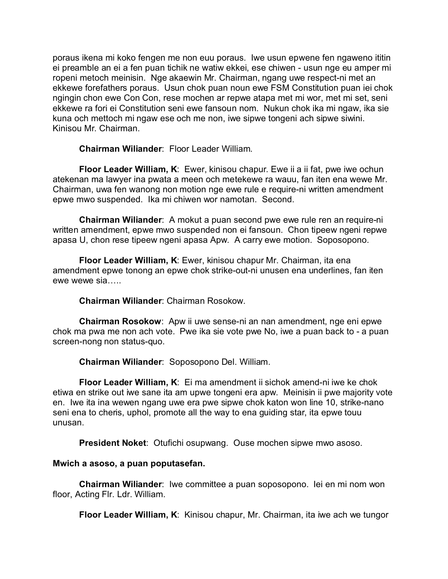poraus ikena mi koko fengen me non euu poraus. Iwe usun epwene fen ngaweno ititin ei preamble an ei a fen puan tichik ne watiw ekkei, ese chiwen - usun nge eu amper mi ropeni metoch meinisin. Nge akaewin Mr. Chairman, ngang uwe respect-ni met an ekkewe forefathers poraus. Usun chok puan noun ewe FSM Constitution puan iei chok ngingin chon ewe Con Con, rese mochen ar repwe atapa met mi wor, met mi set, seni ekkewe ra fori ei Constitution seni ewe fansoun nom. Nukun chok ika mi ngaw, ika sie kuna och mettoch mi ngaw ese och me non, iwe sipwe tongeni ach sipwe siwini. Kinisou Mr. Chairman.

**Chairman Wiliander**: Floor Leader William.

**Floor Leader William, K**: Ewer, kinisou chapur. Ewe ii a ii fat, pwe iwe ochun atekenan ma lawyer ina pwata a meen och metekewe ra wauu, fan iten ena wewe Mr. Chairman, uwa fen wanong non motion nge ewe rule e require-ni written amendment epwe mwo suspended. Ika mi chiwen wor namotan. Second.

**Chairman Wiliander**: A mokut a puan second pwe ewe rule ren an require-ni written amendment, epwe mwo suspended non ei fansoun. Chon tipeew ngeni repwe apasa U, chon rese tipeew ngeni apasa Apw. A carry ewe motion. Soposopono.

**Floor Leader William, K**: Ewer, kinisou chapur Mr. Chairman, ita ena amendment epwe tonong an epwe chok strike-out-ni unusen ena underlines, fan iten ewe wewe sia…..

**Chairman Wiliander**: Chairman Rosokow.

**Chairman Rosokow**: Apw ii uwe sense-ni an nan amendment, nge eni epwe chok ma pwa me non ach vote. Pwe ika sie vote pwe No, iwe a puan back to - a puan screen-nong non status-quo.

**Chairman Wiliander**: Soposopono Del. William.

**Floor Leader William, K**: Ei ma amendment ii sichok amend-ni iwe ke chok etiwa en strike out iwe sane ita am upwe tongeni era apw. Meinisin ii pwe majority vote en. Iwe ita ina wewen ngang uwe era pwe sipwe chok katon won line 10, strike-nano seni ena to cheris, uphol, promote all the way to ena guiding star, ita epwe touu unusan.

**President Noket**: Otufichi osupwang. Ouse mochen sipwe mwo asoso.

### **Mwich a asoso, a puan poputasefan.**

**Chairman Wiliander**: Iwe committee a puan soposopono. Iei en mi nom won floor, Acting Flr. Ldr. William.

**Floor Leader William, K**: Kinisou chapur, Mr. Chairman, ita iwe ach we tungor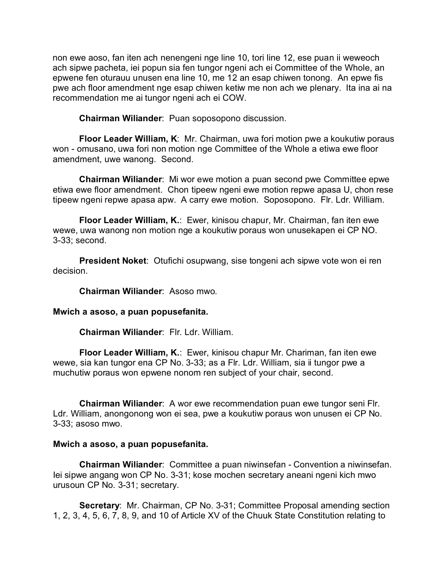non ewe aoso, fan iten ach nenengeni nge line 10, tori line 12, ese puan ii weweoch ach sipwe pacheta, iei popun sia fen tungor ngeni ach ei Committee of the Whole, an epwene fen oturauu unusen ena line 10, me 12 an esap chiwen tonong. An epwe fis pwe ach floor amendment nge esap chiwen ketiw me non ach we plenary. Ita ina ai na recommendation me ai tungor ngeni ach ei COW.

**Chairman Wiliander**: Puan soposopono discussion.

**Floor Leader William, K**: Mr. Chairman, uwa fori motion pwe a koukutiw poraus won - omusano, uwa fori non motion nge Committee of the Whole a etiwa ewe floor amendment, uwe wanong. Second.

**Chairman Wiliander**: Mi wor ewe motion a puan second pwe Committee epwe etiwa ewe floor amendment. Chon tipeew ngeni ewe motion repwe apasa U, chon rese tipeew ngeni repwe apasa apw. A carry ewe motion. Soposopono. Flr. Ldr. William.

**Floor Leader William, K.**: Ewer, kinisou chapur, Mr. Chairman, fan iten ewe wewe, uwa wanong non motion nge a koukutiw poraus won unusekapen ei CP NO. 3-33; second.

**President Noket**: Otufichi osupwang, sise tongeni ach sipwe vote won ei ren decision.

**Chairman Wiliander**: Asoso mwo.

**Mwich a asoso, a puan popusefanita.**

**Chairman Wiliander**: Flr. Ldr. William.

**Floor Leader William, K.**: Ewer, kinisou chapur Mr. Chariman, fan iten ewe wewe, sia kan tungor ena CP No. 3-33; as a Flr. Ldr. William, sia ii tungor pwe a muchutiw poraus won epwene nonom ren subject of your chair, second.

**Chairman Wiliander**: A wor ewe recommendation puan ewe tungor seni Flr. Ldr. William, anongonong won ei sea, pwe a koukutiw poraus won unusen ei CP No. 3-33; asoso mwo.

### **Mwich a asoso, a puan popusefanita.**

**Chairman Wiliander**: Committee a puan niwinsefan - Convention a niwinsefan. Iei sipwe angang won CP No. 3-31; kose mochen secretary aneani ngeni kich mwo urusoun CP No. 3-31; secretary.

**Secretary:** Mr. Chairman, CP No. 3-31; Committee Proposal amending section 1, 2, 3, 4, 5, 6, 7, 8, 9, and 10 of Article XV of the Chuuk State Constitution relating to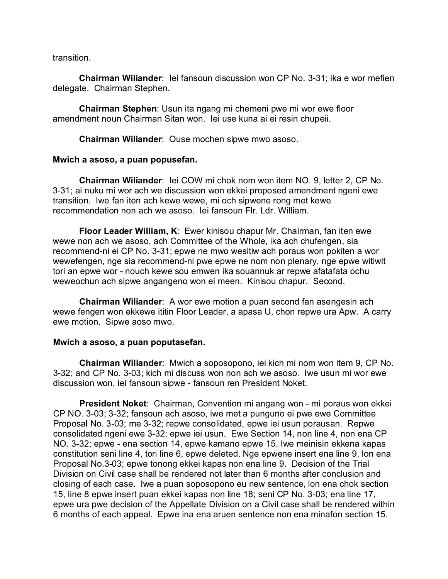transition.

**Chairman Wiliander**: Iei fansoun discussion won CP No. 3-31; ika e wor mefien delegate. Chairman Stephen.

**Chairman Stephen**: Usun ita ngang mi chemeni pwe mi wor ewe floor amendment noun Chairman Sitan won. Iei use kuna ai ei resin chupeii.

**Chairman Wiliander**: Ouse mochen sipwe mwo asoso.

### **Mwich a asoso, a puan popusefan.**

**Chairman Wiliander**: Iei COW mi chok nom won item NO. 9, letter 2, CP No. 3-31; ai nuku mi wor ach we discussion won ekkei proposed amendment ngeni ewe transition. Iwe fan iten ach kewe wewe, mi och sipwene rong met kewe recommendation non ach we asoso. Iei fansoun Flr. Ldr. William.

**Floor Leader William, K**: Ewer kinisou chapur Mr. Chairman, fan iten ewe wewe non ach we asoso, ach Committee of the Whole, ika ach chufengen, sia recommend-ni ei CP No. 3-31; epwe ne mwo wesitiw ach poraus won pokiten a wor wewefengen, nge sia recommend-ni pwe epwe ne nom non plenary, nge epwe witiwit tori an epwe wor - nouch kewe sou emwen ika souannuk ar repwe afatafata ochu weweochun ach sipwe angangeno won ei meen. Kinisou chapur. Second.

**Chairman Wiliander**: A wor ewe motion a puan second fan asengesin ach wewe fengen won ekkewe ititin Floor Leader, a apasa U, chon repwe ura Apw. A carry ewe motion. Sipwe aoso mwo.

### **Mwich a asoso, a puan poputasefan.**

**Chairman Wiliander**: Mwich a soposopono, iei kich mi nom won item 9, CP No. 3-32; and CP No. 3-03; kich mi discuss won non ach we asoso. Iwe usun mi wor ewe discussion won, iei fansoun sipwe - fansoun ren President Noket.

**President Noket**: Chairman, Convention mi angang won - mi poraus won ekkei CP NO. 3-03; 3-32; fansoun ach asoso, iwe met a punguno ei pwe ewe Committee Proposal No. 3-03; me 3-32; repwe consolidated, epwe iei usun porausan. Repwe consolidated ngeni ewe 3-32; epwe iei usun. Ewe Section 14, non line 4, non ena CP NO. 3-32; epwe - ena section 14, epwe kamano epwe 15. Iwe meinisin ekkena kapas constitution seni line 4, tori line 6, epwe deleted. Nge epwene insert ena line 9, lon ena Proposal No.3-03; epwe tonong ekkei kapas non ena line 9. Decision of the Trial Division on Civil case shall be rendered not later than 6 months after conclusion and closing of each case. Iwe a puan soposopono eu new sentence, lon ena chok section 15, line 8 epwe insert puan ekkei kapas non line 18; seni CP No. 3-03; ena line 17, epwe ura pwe decision of the Appellate Division on a Civil case shall be rendered within 6 months of each appeal. Epwe ina ena aruen sentence non ena minafon section 15.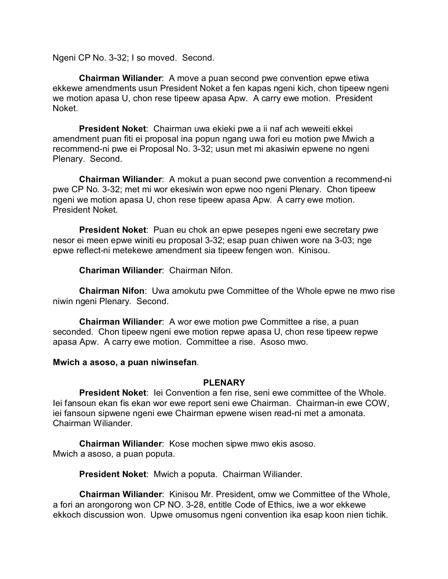Ngeni CP No. 3-32; I so moved. Second.

**Chairman Wiliander**: A move a puan second pwe convention epwe etiwa ekkewe amendments usun President Noket a fen kapas ngeni kich, chon tipeew ngeni we motion apasa U, chon rese tipeew apasa Apw. A carry ewe motion. President Noket.

**President Noket**: Chairman uwa ekieki pwe a ii naf ach weweiti ekkei amendment puan fiti ei proposal ina popun ngang uwa fori eu motion pwe Mwich a recommend-ni pwe ei Proposal No. 3-32; usun met mi akasiwin epwene no ngeni Plenary. Second.

**Chairman Wiliander**: A mokut a puan second pwe convention a recommend-ni pwe CP No. 3-32; met mi wor ekesiwin won epwe noo ngeni Plenary. Chon tipeew ngeni we motion apasa U, chon rese tipeew apasa Apw. A carry ewe motion. President Noket.

**President Noket**: Puan eu chok an epwe pesepes ngeni ewe secretary pwe nesor ei meen epwe winiti eu proposal 3-32; esap puan chiwen wore na 3-03; nge epwe reflect-ni metekewe amendment sia tipeew fengen won. Kinisou.

**Chariman Wiliander**: Chairman Nifon.

**Chairman Nifon**: Uwa amokutu pwe Committee of the Whole epwe ne mwo rise niwin ngeni Plenary. Second.

**Chairman Wiliander**: A wor ewe motion pwe Committee a rise, a puan seconded. Chon tipeew ngeni ewe motion repwe apasa U, chon rese tipeew repwe apasa Apw. A carry ewe motion. Committee a rise. Asoso mwo.

### **Mwich a asoso, a puan niwinsefan**.

## **PLENARY**

**President Noket**: Iei Convention a fen rise, seni ewe committee of the Whole. Iei fansoun ekan fis ekan wor ewe report seni ewe Chairman. Chairman-in ewe COW, iei fansoun sipwene ngeni ewe Chairman epwene wisen read-ni met a amonata. Chairman Wiliander.

**Chairman Wiliander**: Kose mochen sipwe mwo ekis asoso. Mwich a asoso, a puan poputa.

**President Noket**: Mwich a poputa. Chairman Wiliander.

**Chairman Wiliander**: Kinisou Mr. President, omw we Committee of the Whole, a fori an arongorong won CP NO. 3-28, entitle Code of Ethics, iwe a wor ekkewe ekkoch discussion won. Upwe omusomus ngeni convention ika esap koon nien tichik.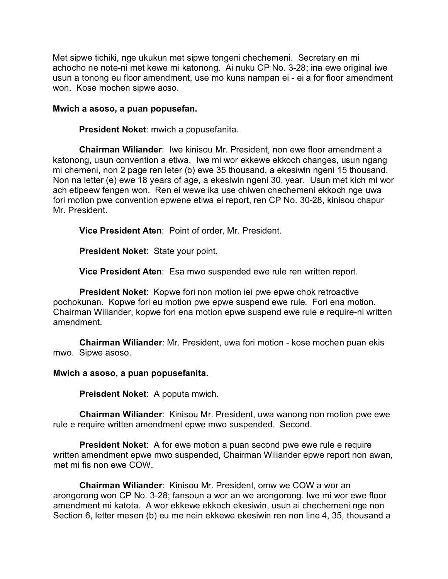Met sipwe tichiki, nge ukukun met sipwe tongeni chechemeni. Secretary en mi achocho ne note-ni met kewe mi katonong. Ai nuku CP No. 3-28; ina ewe original iwe usun a tonong eu floor amendment, use mo kuna nampan ei - ei a for floor amendment won. Kose mochen sipwe aoso.

### **Mwich a asoso, a puan popusefan.**

**President Noket**: mwich a popusefanita.

**Chairman Wiliander**: Iwe kinisou Mr. President, non ewe floor amendment a katonong, usun convention a etiwa. Iwe mi wor ekkewe ekkoch changes, usun ngang mi chemeni, non 2 page ren leter (b) ewe 35 thousand, a ekesiwin ngeni 15 thousand. Non na letter (e) ewe 18 years of age, a ekesiwin ngeni 30, year. Usun met kich mi wor ach etipeew fengen won. Ren ei wewe ika use chiwen chechemeni ekkoch nge uwa fori motion pwe convention epwene etiwa ei report, ren CP No. 30-28, kinisou chapur Mr. President.

**Vice President Aten**: Point of order, Mr. President.

**President Noket**: State your point.

**Vice President Aten**: Esa mwo suspended ewe rule ren written report.

**President Noket**: Kopwe fori non motion iei pwe epwe chok retroactive pochokunan. Kopwe fori eu motion pwe epwe suspend ewe rule. Fori ena motion. Chairman Wiliander, kopwe fori ena motion epwe suspend ewe rule e require-ni written amendment.

**Chairman Wiliander**: Mr. President, uwa fori motion - kose mochen puan ekis mwo. Sipwe asoso.

### **Mwich a asoso, a puan popusefanita.**

**Preisdent Noket**: A poputa mwich.

**Chairman Wiliander**: Kinisou Mr. President, uwa wanong non motion pwe ewe rule e require written amendment epwe mwo suspended. Second.

**President Noket**: A for ewe motion a puan second pwe ewe rule e require written amendment epwe mwo suspended, Chairman Wiliander epwe report non awan, met mi fis non ewe COW.

**Chairman Wiliander**: Kinisou Mr. President, omw we COW a wor an arongorong won CP No. 3-28; fansoun a wor an we arongorong. Iwe mi wor ewe floor amendment mi katota. A wor ekkewe ekkoch ekesiwin, usun ai chechemeni nge non Section 6, letter mesen (b) eu me nein ekkewe ekesiwin ren non line 4, 35, thousand a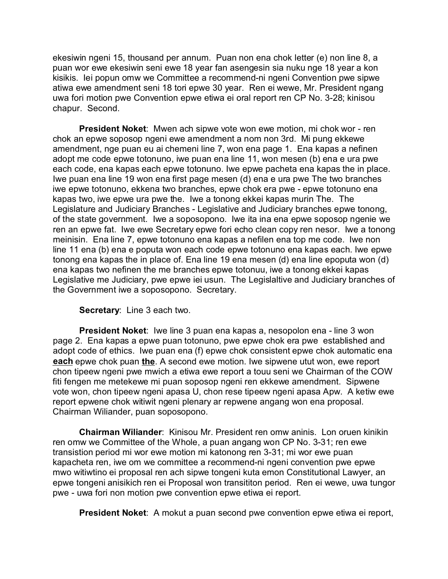ekesiwin ngeni 15, thousand per annum. Puan non ena chok letter (e) non line 8, a puan wor ewe ekesiwin seni ewe 18 year fan asengesin sia nuku nge 18 year a kon kisikis. Iei popun omw we Committee a recommend-ni ngeni Convention pwe sipwe atiwa ewe amendment seni 18 tori epwe 30 year. Ren ei wewe, Mr. President ngang uwa fori motion pwe Convention epwe etiwa ei oral report ren CP No. 3-28; kinisou chapur. Second.

**President Noket**: Mwen ach sipwe vote won ewe motion, mi chok wor - ren chok an epwe soposop ngeni ewe amendment a nom non 3rd. Mi pung ekkewe amendment, nge puan eu ai chemeni line 7, won ena page 1. Ena kapas a nefinen adopt me code epwe totonuno, iwe puan ena line 11, won mesen (b) ena e ura pwe each code, ena kapas each epwe totonuno. Iwe epwe pacheta ena kapas the in place. Iwe puan ena line 19 won ena first page mesen (d) ena e ura pwe The two branches iwe epwe totonuno, ekkena two branches, epwe chok era pwe - epwe totonuno ena kapas two, iwe epwe ura pwe the. Iwe a tonong ekkei kapas murin The. The Legislature and Judiciary Branches - Legislative and Judiciary branches epwe tonong, of the state government. Iwe a soposopono. Iwe ita ina ena epwe soposop ngenie we ren an epwe fat. Iwe ewe Secretary epwe fori echo clean copy ren nesor. Iwe a tonong meinisin. Ena line 7, epwe totonuno ena kapas a nefilen ena top me code. Iwe non line 11 ena (b) ena e poputa won each code epwe totonuno ena kapas each. Iwe epwe tonong ena kapas the in place of. Ena line 19 ena mesen (d) ena line epoputa won (d) ena kapas two nefinen the me branches epwe totonuu, iwe a tonong ekkei kapas Legislative me Judiciary, pwe epwe iei usun. The Legislaltive and Judiciary branches of the Government iwe a soposopono. Secretary.

**Secretary**: Line 3 each two.

**President Noket**: Iwe line 3 puan ena kapas a, nesopolon ena - line 3 won page 2. Ena kapas a epwe puan totonuno, pwe epwe chok era pwe established and adopt code of ethics. Iwe puan ena (f) epwe chok consistent epwe chok automatic ena **each** epwe chok puan **the**. A second ewe motion. Iwe sipwene utut won, ewe report chon tipeew ngeni pwe mwich a etiwa ewe report a touu seni we Chairman of the COW fiti fengen me metekewe mi puan soposop ngeni ren ekkewe amendment. Sipwene vote won, chon tipeew ngeni apasa U, chon rese tipeew ngeni apasa Apw. A ketiw ewe report epwene chok witiwit ngeni plenary ar repwene angang won ena proposal. Chairman Wiliander, puan soposopono.

**Chairman Wiliander**: Kinisou Mr. President ren omw aninis. Lon oruen kinikin ren omw we Committee of the Whole, a puan angang won CP No. 3-31; ren ewe transistion period mi wor ewe motion mi katonong ren 3-31; mi wor ewe puan kapacheta ren, iwe om we committee a recommend-ni ngeni convention pwe epwe mwo witiwtino ei proposal ren ach sipwe tongeni kuta emon Constitutional Lawyer, an epwe tongeni anisikich ren ei Proposal won transititon period. Ren ei wewe, uwa tungor pwe - uwa fori non motion pwe convention epwe etiwa ei report.

**President Noket**: A mokut a puan second pwe convention epwe etiwa ei report,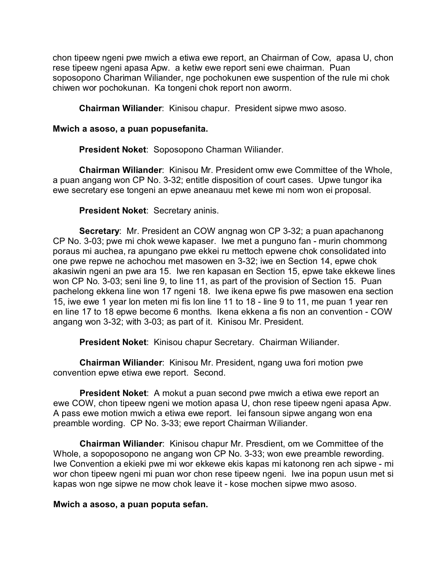chon tipeew ngeni pwe mwich a etiwa ewe report, an Chairman of Cow, apasa U, chon rese tipeew ngeni apasa Apw. a ketiw ewe report seni ewe chairman. Puan soposopono Chariman Wiliander, nge pochokunen ewe suspention of the rule mi chok chiwen wor pochokunan. Ka tongeni chok report non aworm.

**Chairman Wiliander**: Kinisou chapur. President sipwe mwo asoso.

## **Mwich a asoso, a puan popusefanita.**

**President Noket**: Soposopono Charman Wiliander.

**Chairman Wiliander**: Kinisou Mr. President omw ewe Committee of the Whole, a puan angang won CP No. 3-32; entitle disposition of court cases. Upwe tungor ika ewe secretary ese tongeni an epwe aneanauu met kewe mi nom won ei proposal.

## **President Noket**: Secretary aninis.

**Secretary**: Mr. President an COW angnag won CP 3-32; a puan apachanong CP No. 3-03; pwe mi chok wewe kapaser. Iwe met a punguno fan - murin chommong poraus mi auchea, ra apungano pwe ekkei ru mettoch epwene chok consolidated into one pwe repwe ne achochou met masowen en 3-32; iwe en Section 14, epwe chok akasiwin ngeni an pwe ara 15. Iwe ren kapasan en Section 15, epwe take ekkewe lines won CP No. 3-03; seni line 9, to line 11, as part of the provision of Section 15. Puan pachelong ekkena line won 17 ngeni 18. Iwe ikena epwe fis pwe masowen ena section 15, iwe ewe 1 year lon meten mi fis lon line 11 to 18 - line 9 to 11, me puan 1 year ren en line 17 to 18 epwe become 6 months. Ikena ekkena a fis non an convention - COW angang won 3-32; with 3-03; as part of it. Kinisou Mr. President.

**President Noket**: Kinisou chapur Secretary. Chairman Wiliander.

**Chairman Wiliander**: Kinisou Mr. President, ngang uwa fori motion pwe convention epwe etiwa ewe report. Second.

**President Noket**: A mokut a puan second pwe mwich a etiwa ewe report an ewe COW, chon tipeew ngeni we motion apasa U, chon rese tipeew ngeni apasa Apw. A pass ewe motion mwich a etiwa ewe report. Iei fansoun sipwe angang won ena preamble wording. CP No. 3-33; ewe report Chairman Wiliander.

**Chairman Wiliander**: Kinisou chapur Mr. Presdient, om we Committee of the Whole, a sopoposopono ne angang won CP No. 3-33; won ewe preamble rewording. Iwe Convention a ekieki pwe mi wor ekkewe ekis kapas mi katonong ren ach sipwe - mi wor chon tipeew ngeni mi puan wor chon rese tipeew ngeni. Iwe ina popun usun met si kapas won nge sipwe ne mow chok leave it - kose mochen sipwe mwo asoso.

### **Mwich a asoso, a puan poputa sefan.**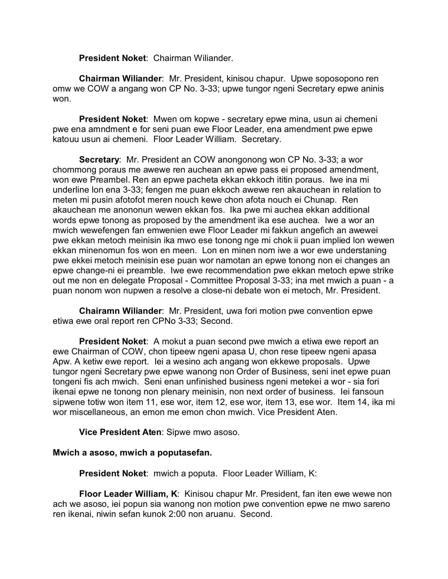**President Noket**: Chairman Wiliander.

**Chairman Wiliander**: Mr. President, kinisou chapur. Upwe soposopono ren omw we COW a angang won CP No. 3-33; upwe tungor ngeni Secretary epwe aninis won.

**President Noket**: Mwen om kopwe - secretary epwe mina, usun ai chemeni pwe ena amndment e for seni puan ewe Floor Leader, ena amendment pwe epwe katouu usun ai chemeni. Floor Leader William. Secretary.

**Secretary**: Mr. President an COW anongonong won CP No. 3-33; a wor chommong poraus me awewe ren auchean an epwe pass ei proposed amendment, won ewe Preambel. Ren an epwe pacheta ekkan ekkoch ititin poraus. Iwe ina mi underline lon ena 3-33; fengen me puan ekkoch awewe ren akauchean in relation to meten mi pusin afotofot meren nouch kewe chon afota nouch ei Chunap. Ren akauchean me anononun wewen ekkan fos. Ika pwe mi auchea ekkan additional words epwe tonong as proposed by the amendment ika ese auchea. Iwe a wor an mwich wewefengen fan emwenien ewe Floor Leader mi fakkun angefich an awewei pwe ekkan metoch meinisin ika mwo ese tonong nge mi chok ii puan implied lon wewen ekkan minenomun fos won en meen. Lon en minen nom iwe a wor ewe understaning pwe ekkei metoch meinisin ese puan wor namotan an epwe tonong non ei changes an epwe change-ni ei preamble. Iwe ewe recommendation pwe ekkan metoch epwe strike out me non en delegate Proposal - Committee Proposal 3-33; ina met mwich a puan - a puan nonom won nupwen a resolve a close-ni debate won ei metoch, Mr. President.

**Chairamn Wiliander**: Mr. President, uwa fori motion pwe convention epwe etiwa ewe oral report ren CPNo 3-33; Second.

**President Noket**: A mokut a puan second pwe mwich a etiwa ewe report an ewe Chairman of COW, chon tipeew ngeni apasa U, chon rese tipeew ngeni apasa Apw. A ketiw ewe report. Iei a wesino ach angang won ekkewe proposals. Upwe tungor ngeni Secretary pwe epwe wanong non Order of Business, seni inet epwe puan tongeni fis ach mwich. Seni enan unfinished business ngeni metekei a wor - sia fori ikenai epwe ne tonong non plenary meinisin, non next order of business. Iei fansoun sipwene totiw won item 11, ese wor, item 12, ese wor, item 13, ese wor. Item 14, ika mi wor miscellaneous, an emon me emon chon mwich. Vice President Aten.

**Vice President Aten**: Sipwe mwo asoso.

# **Mwich a asoso, mwich a poputasefan.**

**President Noket**: mwich a poputa. Floor Leader William, K:

**Floor Leader William, K**: Kinisou chapur Mr. President, fan iten ewe wewe non ach we asoso, iei popun sia wanong non motion pwe convention epwe ne mwo sareno ren ikenai, niwin sefan kunok 2:00 non aruanu. Second.